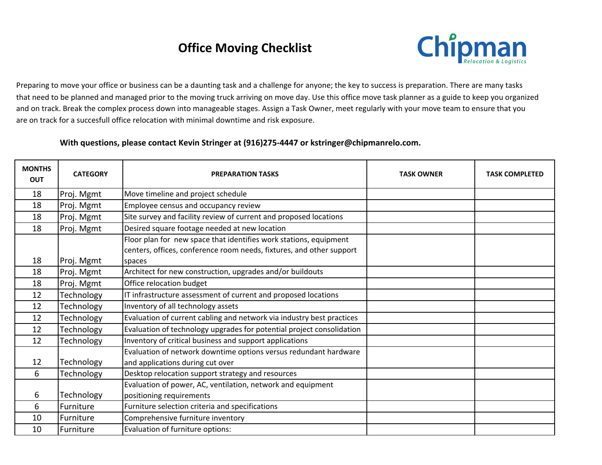## **Office Moving Checklist**



Preparing to move your office or business can be a daunting task and a challenge for anyone; the key to success is preparation. There are many tasks that need to be planned and managed prior to the moving truck arriving on move day. Use this office move task planner as a guide to keep you organized and on track. Break the complex process down into manageable stages. Assign a Task Owner, meet regularly with your move team to ensure that you are on track for a succesfull office relocation with minimal downtime and risk exposure.

With questions, please contact Kevin Stringer at (916)275-4447 or kstringer@chipmanrelo.com.

| <b>MONTHS</b><br><b>OUT</b> | <b>CATEGORY</b> | <b>PREPARATION TASKS</b>                                                                                                                            | <b>TASK OWNER</b> | <b>TASK COMPLETED</b> |
|-----------------------------|-----------------|-----------------------------------------------------------------------------------------------------------------------------------------------------|-------------------|-----------------------|
| 18                          | Proj. Mgmt      | Move timeline and project schedule                                                                                                                  |                   |                       |
| 18                          | Proj. Mgmt      | Employee census and occupancy review                                                                                                                |                   |                       |
| 18                          | Proj. Mgmt      | Site survey and facility review of current and proposed locations                                                                                   |                   |                       |
| 18                          | Proj. Mgmt      | Desired square footage needed at new location                                                                                                       |                   |                       |
| 18                          | Proj. Mgmt      | Floor plan for new space that identifies work stations, equipment<br>centers, offices, conference room needs, fixtures, and other support<br>spaces |                   |                       |
| 18                          | Proj. Mgmt      | Architect for new construction, upgrades and/or buildouts                                                                                           |                   |                       |
| 18                          | Proj. Mgmt      | Office relocation budget                                                                                                                            |                   |                       |
| 12                          | Technology      | IT infrastructure assessment of current and proposed locations                                                                                      |                   |                       |
| 12                          | Technology      | Inventory of all technology assets                                                                                                                  |                   |                       |
| 12                          | Technology      | Evaluation of current cabling and network via industry best practices                                                                               |                   |                       |
| 12                          | Technology      | Evaluation of technology upgrades for potential project consolidation                                                                               |                   |                       |
| 12                          | Technology      | Inventory of critical business and support applications                                                                                             |                   |                       |
| 12                          | Technology      | Evaluation of network downtime options versus redundant hardware<br>and applications during cut over                                                |                   |                       |
| 6                           | Technology      | Desktop relocation support strategy and resources                                                                                                   |                   |                       |
| 6                           | Technology      | Evaluation of power, AC, ventilation, network and equipment<br>positioning requirements                                                             |                   |                       |
| 6                           | Furniture       | Furniture selection criteria and specifications                                                                                                     |                   |                       |
| 10                          | Furniture       | Comprehensive furniture inventory                                                                                                                   |                   |                       |
| 10                          | Furniture       | Evaluation of furniture options:                                                                                                                    |                   |                       |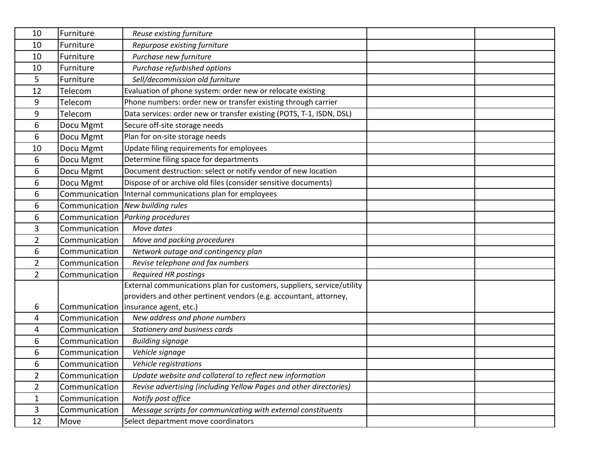| 10             | Furniture     | Reuse existing furniture                                               |  |
|----------------|---------------|------------------------------------------------------------------------|--|
| 10             | Furniture     | Repurpose existing furniture                                           |  |
| 10             | Furniture     | Purchase new furniture                                                 |  |
| 10             | Furniture     | Purchase refurbished options                                           |  |
| 5              | Furniture     | Sell/decommission old furniture                                        |  |
| 12             | Telecom       | Evaluation of phone system: order new or relocate existing             |  |
| 9              | Telecom       | Phone numbers: order new or transfer existing through carrier          |  |
| 9              | Telecom       | Data services: order new or transfer existing (POTS, T-1, ISDN, DSL)   |  |
| 6              | Docu Mgmt     | Secure off-site storage needs                                          |  |
| 6              | Docu Mgmt     | Plan for on-site storage needs                                         |  |
| 10             | Docu Mgmt     | Update filing requirements for employees                               |  |
| 6              | Docu Mgmt     | Determine filing space for departments                                 |  |
| 6              | Docu Mgmt     | Document destruction: select or notify vendor of new location          |  |
| 6              | Docu Mgmt     | Dispose of or archive old files (consider sensitive documents)         |  |
| 6              | Communication | Internal communications plan for employees                             |  |
| 6              | Communication | New building rules                                                     |  |
| 6              |               | Communication   Parking procedures                                     |  |
| 3              | Communication | Move dates                                                             |  |
| $\overline{2}$ | Communication | Move and packing procedures                                            |  |
| 6              | Communication | Network outage and contingency plan                                    |  |
| 2              | Communication | Revise telephone and fax numbers                                       |  |
| $\overline{2}$ | Communication | <b>Required HR postings</b>                                            |  |
|                |               | External communications plan for customers, suppliers, service/utility |  |
|                |               | providers and other pertinent vendors (e.g. accountant, attorney,      |  |
| 6              |               | Communication   insurance agent, etc.)                                 |  |
| 4              | Communication | New address and phone numbers                                          |  |
| 4              | Communication | Stationery and business cards                                          |  |
| 6              | Communication | <b>Building signage</b>                                                |  |
| 6              | Communication | Vehicle signage                                                        |  |
| 6              | Communication | Vehicle registrations                                                  |  |
| $\overline{2}$ | Communication | Update website and collateral to reflect new information               |  |
| $\overline{2}$ | Communication | Revise advertising (including Yellow Pages and other directories)      |  |
| 1              | Communication | Notify post office                                                     |  |
| 3              | Communication | Message scripts for communicating with external constituents           |  |
| 12             | Move          | Select department move coordinators                                    |  |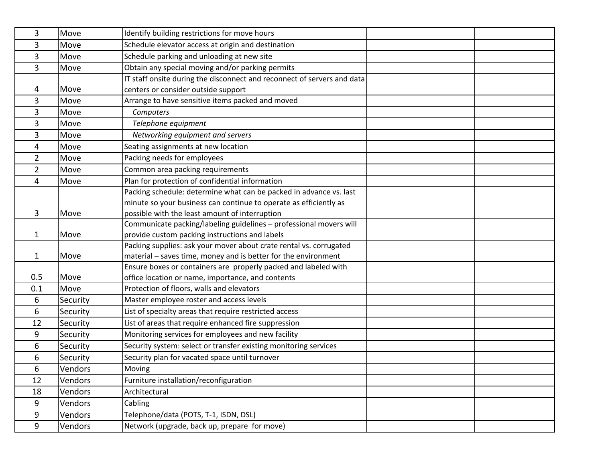| 3   | Move     | Identify building restrictions for move hours                           |
|-----|----------|-------------------------------------------------------------------------|
| 3   | Move     | Schedule elevator access at origin and destination                      |
| 3   | Move     | Schedule parking and unloading at new site                              |
| 3   | Move     | Obtain any special moving and/or parking permits                        |
|     |          | IT staff onsite during the disconnect and reconnect of servers and data |
| 4   | Move     | centers or consider outside support                                     |
| 3   | Move     | Arrange to have sensitive items packed and moved                        |
| 3   | Move     | Computers                                                               |
| 3   | Move     | Telephone equipment                                                     |
| 3   | Move     | Networking equipment and servers                                        |
| 4   | Move     | Seating assignments at new location                                     |
| 2   | Move     | Packing needs for employees                                             |
| 2   | Move     | Common area packing requirements                                        |
| 4   | Move     | Plan for protection of confidential information                         |
|     |          | Packing schedule: determine what can be packed in advance vs. last      |
|     |          | minute so your business can continue to operate as efficiently as       |
| 3   | Move     | possible with the least amount of interruption                          |
|     |          | Communicate packing/labeling guidelines - professional movers will      |
| 1   | Move     | provide custom packing instructions and labels                          |
|     |          | Packing supplies: ask your mover about crate rental vs. corrugated      |
| 1   | Move     | material - saves time, money and is better for the environment          |
|     |          | Ensure boxes or containers are properly packed and labeled with         |
| 0.5 | Move     | office location or name, importance, and contents                       |
| 0.1 | Move     | Protection of floors, walls and elevators                               |
| 6   | Security | Master employee roster and access levels                                |
| 6   | Security | List of specialty areas that require restricted access                  |
| 12  | Security | List of areas that require enhanced fire suppression                    |
| 9   | Security | Monitoring services for employees and new facility                      |
| 6   | Security | Security system: select or transfer existing monitoring services        |
| 6   | Security | Security plan for vacated space until turnover                          |
| 6   | Vendors  | Moving                                                                  |
| 12  | Vendors  | Furniture installation/reconfiguration                                  |
| 18  | Vendors  | Architectural                                                           |
| 9   | Vendors  | Cabling                                                                 |
| 9   | Vendors  | Telephone/data (POTS, T-1, ISDN, DSL)                                   |
| 9   | Vendors  | Network (upgrade, back up, prepare for move)                            |